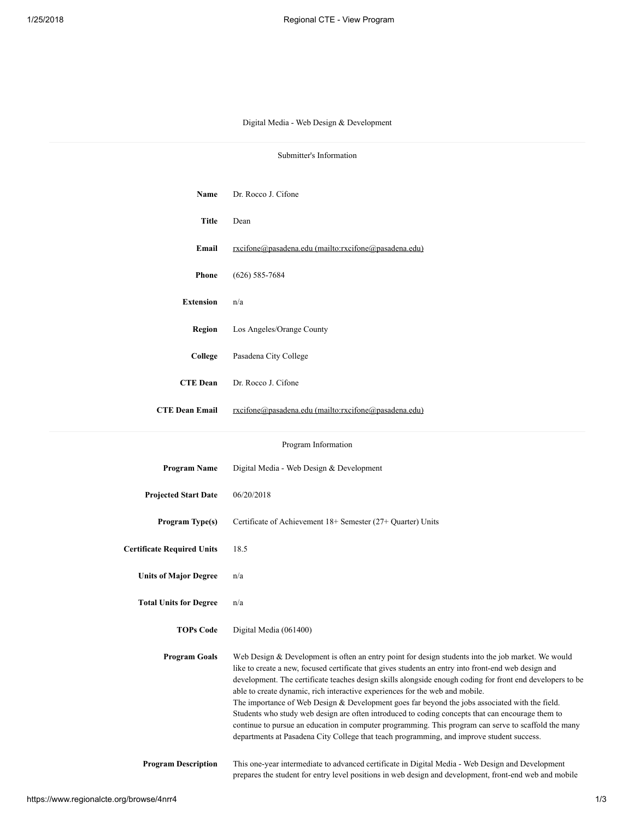## Digital Media - Web Design & Development

| Submitter's Information           |                                                                                                                                                                                                                                                                                                                                                                                                                                                                                                                                                                                                                                                                                                                                                                                                                      |  |
|-----------------------------------|----------------------------------------------------------------------------------------------------------------------------------------------------------------------------------------------------------------------------------------------------------------------------------------------------------------------------------------------------------------------------------------------------------------------------------------------------------------------------------------------------------------------------------------------------------------------------------------------------------------------------------------------------------------------------------------------------------------------------------------------------------------------------------------------------------------------|--|
|                                   |                                                                                                                                                                                                                                                                                                                                                                                                                                                                                                                                                                                                                                                                                                                                                                                                                      |  |
| Name                              | Dr. Rocco J. Cifone                                                                                                                                                                                                                                                                                                                                                                                                                                                                                                                                                                                                                                                                                                                                                                                                  |  |
| <b>Title</b>                      | Dean                                                                                                                                                                                                                                                                                                                                                                                                                                                                                                                                                                                                                                                                                                                                                                                                                 |  |
| Email                             | rxcifone@pasadena.edu (mailto:rxcifone@pasadena.edu)                                                                                                                                                                                                                                                                                                                                                                                                                                                                                                                                                                                                                                                                                                                                                                 |  |
| <b>Phone</b>                      | $(626) 585 - 7684$                                                                                                                                                                                                                                                                                                                                                                                                                                                                                                                                                                                                                                                                                                                                                                                                   |  |
| <b>Extension</b>                  | n/a                                                                                                                                                                                                                                                                                                                                                                                                                                                                                                                                                                                                                                                                                                                                                                                                                  |  |
| Region                            | Los Angeles/Orange County                                                                                                                                                                                                                                                                                                                                                                                                                                                                                                                                                                                                                                                                                                                                                                                            |  |
| College                           | Pasadena City College                                                                                                                                                                                                                                                                                                                                                                                                                                                                                                                                                                                                                                                                                                                                                                                                |  |
| <b>CTE Dean</b>                   | Dr. Rocco J. Cifone                                                                                                                                                                                                                                                                                                                                                                                                                                                                                                                                                                                                                                                                                                                                                                                                  |  |
| <b>CTE Dean Email</b>             | rxcifone@pasadena.edu (mailto:rxcifone@pasadena.edu)                                                                                                                                                                                                                                                                                                                                                                                                                                                                                                                                                                                                                                                                                                                                                                 |  |
|                                   |                                                                                                                                                                                                                                                                                                                                                                                                                                                                                                                                                                                                                                                                                                                                                                                                                      |  |
| Program Information               |                                                                                                                                                                                                                                                                                                                                                                                                                                                                                                                                                                                                                                                                                                                                                                                                                      |  |
| <b>Program Name</b>               | Digital Media - Web Design & Development                                                                                                                                                                                                                                                                                                                                                                                                                                                                                                                                                                                                                                                                                                                                                                             |  |
| <b>Projected Start Date</b>       | 06/20/2018                                                                                                                                                                                                                                                                                                                                                                                                                                                                                                                                                                                                                                                                                                                                                                                                           |  |
| Program Type(s)                   | Certificate of Achievement 18+ Semester (27+ Quarter) Units                                                                                                                                                                                                                                                                                                                                                                                                                                                                                                                                                                                                                                                                                                                                                          |  |
| <b>Certificate Required Units</b> | 18.5                                                                                                                                                                                                                                                                                                                                                                                                                                                                                                                                                                                                                                                                                                                                                                                                                 |  |
| <b>Units of Major Degree</b>      | n/a                                                                                                                                                                                                                                                                                                                                                                                                                                                                                                                                                                                                                                                                                                                                                                                                                  |  |
| <b>Total Units for Degree</b>     | n/a                                                                                                                                                                                                                                                                                                                                                                                                                                                                                                                                                                                                                                                                                                                                                                                                                  |  |
| <b>TOPs Code</b>                  | Digital Media (061400)                                                                                                                                                                                                                                                                                                                                                                                                                                                                                                                                                                                                                                                                                                                                                                                               |  |
| <b>Program Goals</b>              | Web Design & Development is often an entry point for design students into the job market. We would<br>like to create a new, focused certificate that gives students an entry into front-end web design and<br>development. The certificate teaches design skills alongside enough coding for front end developers to be<br>able to create dynamic, rich interactive experiences for the web and mobile.<br>The importance of Web Design $&$ Development goes far beyond the jobs associated with the field.<br>Students who study web design are often introduced to coding concepts that can encourage them to<br>continue to pursue an education in computer programming. This program can serve to scaffold the many<br>departments at Pasadena City College that teach programming, and improve student success. |  |
| <b>Program Description</b>        | This one-year intermediate to advanced certificate in Digital Media - Web Design and Development<br>prepares the student for entry level positions in web design and development, front-end web and mobile                                                                                                                                                                                                                                                                                                                                                                                                                                                                                                                                                                                                           |  |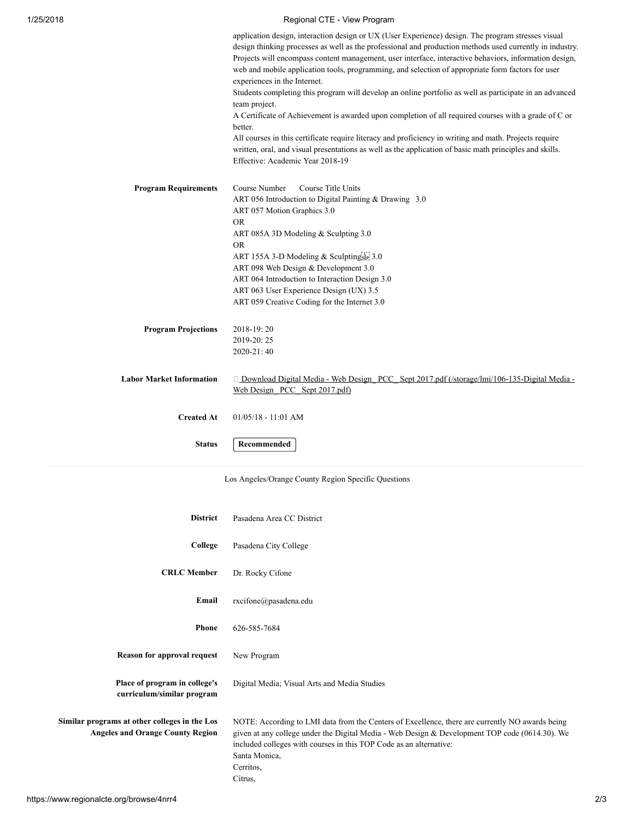## 1/25/2018 Regional CTE - View Program

|                                 | application design, interaction design or UX (User Experience) design. The program stresses visual<br>design thinking processes as well as the professional and production methods used currently in industry.<br>Projects will encompass content management, user interface, interactive behaviors, information design,<br>web and mobile application tools, programming, and selection of appropriate form factors for user<br>experiences in the Internet.<br>Students completing this program will develop an online portfolio as well as participate in an advanced<br>team project.<br>A Certificate of Achievement is awarded upon completion of all required courses with a grade of C or<br>better.<br>All courses in this certificate require literacy and proficiency in writing and math. Projects require<br>written, oral, and visual presentations as well as the application of basic math principles and skills.<br>Effective: Academic Year 2018-19 |
|---------------------------------|-----------------------------------------------------------------------------------------------------------------------------------------------------------------------------------------------------------------------------------------------------------------------------------------------------------------------------------------------------------------------------------------------------------------------------------------------------------------------------------------------------------------------------------------------------------------------------------------------------------------------------------------------------------------------------------------------------------------------------------------------------------------------------------------------------------------------------------------------------------------------------------------------------------------------------------------------------------------------|
| <b>Program Requirements</b>     | Course Title Units<br>Course Number<br>ART 056 Introduction to Digital Painting & Drawing 3.0<br>ART 057 Motion Graphics 3.0<br><b>OR</b><br>ART 085A 3D Modeling & Sculpting 3.0<br><b>OR</b><br>ART 155A 3-D Modeling & Sculptingser 3.0<br>ART 098 Web Design & Development 3.0<br>ART 064 Introduction to Interaction Design 3.0<br>ART 063 User Experience Design (UX) 3.5<br>ART 059 Creative Coding for the Internet 3.0                                                                                                                                                                                                                                                                                                                                                                                                                                                                                                                                       |
| <b>Program Projections</b>      | 2018-19:20<br>2019-20:25<br>2020-21:40                                                                                                                                                                                                                                                                                                                                                                                                                                                                                                                                                                                                                                                                                                                                                                                                                                                                                                                                |
| <b>Labor Market Information</b> | $\Box$ Download Digital Media - Web Design PCC Sept 2017.pdf (/storage/lmi/106-135-Digital Media -<br>Web Design PCC Sept 2017.pdf)                                                                                                                                                                                                                                                                                                                                                                                                                                                                                                                                                                                                                                                                                                                                                                                                                                   |
| <b>Created At</b>               | $01/05/18 - 11:01$ AM                                                                                                                                                                                                                                                                                                                                                                                                                                                                                                                                                                                                                                                                                                                                                                                                                                                                                                                                                 |
| <b>Status</b>                   | Recommended                                                                                                                                                                                                                                                                                                                                                                                                                                                                                                                                                                                                                                                                                                                                                                                                                                                                                                                                                           |

Los Angeles/Orange County Region Specific Questions

| <b>District</b>                                                                          | Pasadena Area CC District                                                                                                                                                                                                                                                                                        |
|------------------------------------------------------------------------------------------|------------------------------------------------------------------------------------------------------------------------------------------------------------------------------------------------------------------------------------------------------------------------------------------------------------------|
| College                                                                                  | Pasadena City College                                                                                                                                                                                                                                                                                            |
| <b>CRLC</b> Member                                                                       | Dr. Rocky Cifone                                                                                                                                                                                                                                                                                                 |
| Email                                                                                    | rxcifone@pasadena.edu                                                                                                                                                                                                                                                                                            |
| <b>Phone</b>                                                                             | 626-585-7684                                                                                                                                                                                                                                                                                                     |
| Reason for approval request                                                              | New Program                                                                                                                                                                                                                                                                                                      |
| Place of program in college's<br>curriculum/similar program                              | Digital Media; Visual Arts and Media Studies                                                                                                                                                                                                                                                                     |
| Similar programs at other colleges in the Los<br><b>Angeles and Orange County Region</b> | NOTE: According to LMI data from the Centers of Excellence, there are currently NO awards being<br>given at any college under the Digital Media - Web Design & Development TOP code (0614.30). We<br>included colleges with courses in this TOP Code as an alternative:<br>Santa Monica,<br>Cerritos,<br>Citrus, |